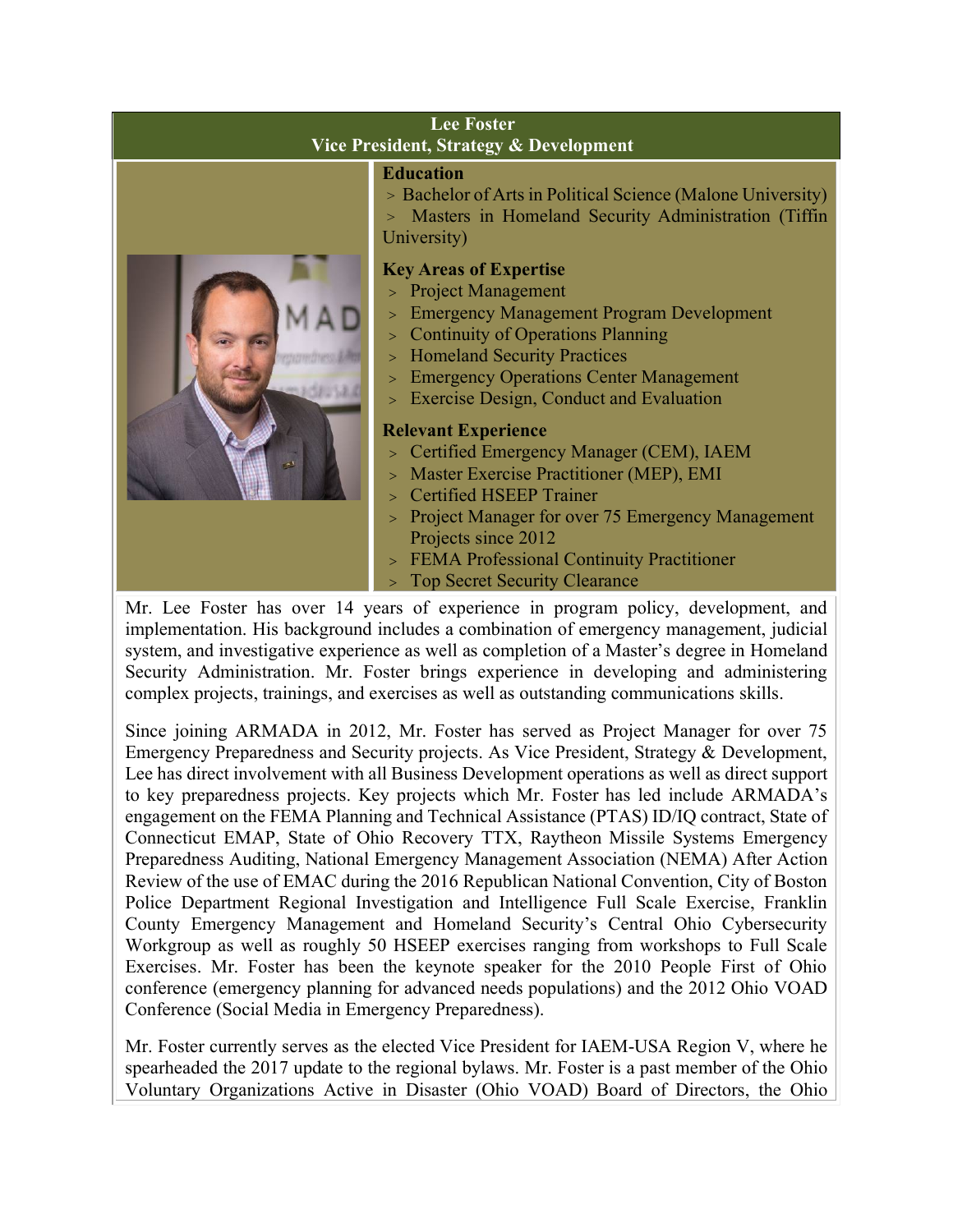| <b>Lee Foster</b><br>Vice President, Strategy & Development |                                                                                                                                                                                                                                                                                                                                                                                                                                                                                                                                                                                                                                                                                                                                                                                                                                        |
|-------------------------------------------------------------|----------------------------------------------------------------------------------------------------------------------------------------------------------------------------------------------------------------------------------------------------------------------------------------------------------------------------------------------------------------------------------------------------------------------------------------------------------------------------------------------------------------------------------------------------------------------------------------------------------------------------------------------------------------------------------------------------------------------------------------------------------------------------------------------------------------------------------------|
|                                                             | <b>Education</b><br>> Bachelor of Arts in Political Science (Malone University)<br>Masters in Homeland Security Administration (Tiffin<br>$\geq$<br>University)<br><b>Key Areas of Expertise</b><br>> Project Management<br><b>Emergency Management Program Development</b><br><b>Continuity of Operations Planning</b><br>$\geq$<br>> Homeland Security Practices<br><b>Emergency Operations Center Management</b><br>$\geq$<br><b>Exercise Design, Conduct and Evaluation</b><br>$\geq$<br><b>Relevant Experience</b><br>> Certified Emergency Manager (CEM), IAEM<br>> Master Exercise Practitioner (MEP), EMI<br><b>Certified HSEEP Trainer</b><br>> Project Manager for over 75 Emergency Management<br>Projects since 2012<br><b>FEMA Professional Continuity Practitioner</b><br>$\geq$<br><b>Top Secret Security Clearance</b> |

Mr. Lee Foster has over 14 years of experience in program policy, development, and implementation. His background includes a combination of emergency management, judicial system, and investigative experience as well as completion of a Master's degree in Homeland Security Administration. Mr. Foster brings experience in developing and administering complex projects, trainings, and exercises as well as outstanding communications skills.

Since joining ARMADA in 2012, Mr. Foster has served as Project Manager for over 75 Emergency Preparedness and Security projects. As Vice President, Strategy & Development, Lee has direct involvement with all Business Development operations as well as direct support to key preparedness projects. Key projects which Mr. Foster has led include ARMADA's engagement on the FEMA Planning and Technical Assistance (PTAS) ID/IQ contract, State of Connecticut EMAP, State of Ohio Recovery TTX, Raytheon Missile Systems Emergency Preparedness Auditing, National Emergency Management Association (NEMA) After Action Review of the use of EMAC during the 2016 Republican National Convention, City of Boston Police Department Regional Investigation and Intelligence Full Scale Exercise, Franklin County Emergency Management and Homeland Security's Central Ohio Cybersecurity Workgroup as well as roughly 50 HSEEP exercises ranging from workshops to Full Scale Exercises. Mr. Foster has been the keynote speaker for the 2010 People First of Ohio conference (emergency planning for advanced needs populations) and the 2012 Ohio VOAD Conference (Social Media in Emergency Preparedness).

Mr. Foster currently serves as the elected Vice President for IAEM-USA Region V, where he spearheaded the 2017 update to the regional bylaws. Mr. Foster is a past member of the Ohio Voluntary Organizations Active in Disaster (Ohio VOAD) Board of Directors, the Ohio